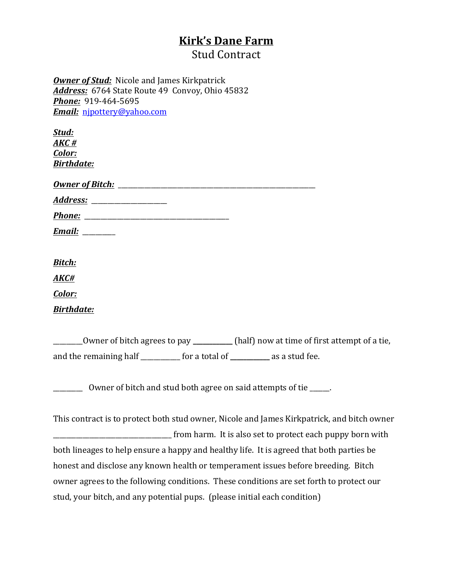## **Kirk's Dane Farm**

**Stud Contract** 

**Owner of Stud:** Nicole and James Kirkpatrick Address: 6764 State Route 49 Convoy, Ohio 45832 **Phone:** 919-464-5695 *Email:* njpottery@yahoo.com

| Stud:<br>AKC#<br>Color:<br><b>Birthdate:</b>                                               |
|--------------------------------------------------------------------------------------------|
|                                                                                            |
| Addr <u>ess:</u> ___________________                                                       |
|                                                                                            |
| <u>Email: _______</u>                                                                      |
|                                                                                            |
| <b>Bitch:</b>                                                                              |
| AKC#                                                                                       |
| Color:                                                                                     |
| <b>Birthdate:</b>                                                                          |
|                                                                                            |
| Owner of bitch agrees to pay _________ (half) now at time of first attempt of a tie,       |
| and the remaining half ___________ for a total of __________ as a stud fee.                |
|                                                                                            |
| ____________ Owner of bitch and stud both agree on said attempts of tie ______.            |
|                                                                                            |
| This contract is to protect both stud owner, Nicole and James Kirkpatrick, and bitch owner |
|                                                                                            |
| both lineages to help ensure a happy and healthy life. It is agreed that both parties be   |
| honest and disclose any known health or temperament issues before breeding. Bitch          |
| owner agrees to the following conditions. These conditions are set forth to protect our    |

stud, your bitch, and any potential pups. (please initial each condition)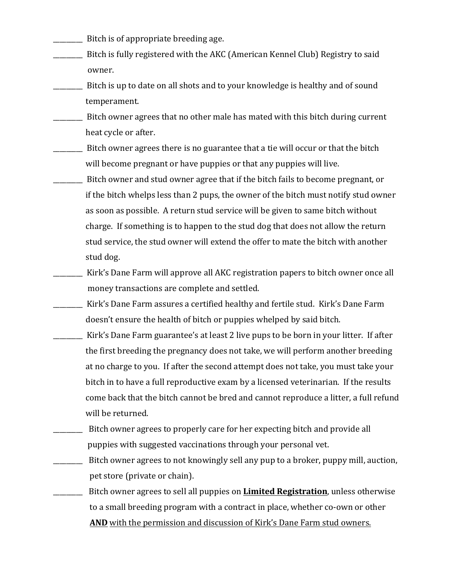- Bitch is of appropriate breeding age.
- Bitch is fully registered with the AKC (American Kennel Club) Registry to said owner.
- Example 1. Bitch is up to date on all shots and to your knowledge is healthy and of sound temperament.
- \_\_\_\_\_\_\_\_ Bitch owner agrees that no other male has mated with this bitch during current heat cycle or after.
- Bitch owner agrees there is no guarantee that a tie will occur or that the bitch will become pregnant or have puppies or that any puppies will live.
- Example 1. Bitch owner and stud owner agree that if the bitch fails to become pregnant, or if the bitch whelps less than 2 pups, the owner of the bitch must notify stud owner as soon as possible. A return stud service will be given to same bitch without charge. If something is to happen to the stud dog that does not allow the return stud service, the stud owner will extend the offer to mate the bitch with another stud dog.
- Kirk's Dane Farm will approve all AKC registration papers to bitch owner once all money transactions are complete and settled.
- **EXECT:** Kirk's Dane Farm assures a certified healthy and fertile stud. Kirk's Dane Farm doesn't ensure the health of bitch or puppies whelped by said bitch.
- Kirk's Dane Farm guarantee's at least 2 live pups to be born in your litter. If after the first breeding the pregnancy does not take, we will perform another breeding at no charge to you. If after the second attempt does not take, you must take your bitch in to have a full reproductive exam by a licensed veterinarian. If the results come back that the bitch cannot be bred and cannot reproduce a litter, a full refund will be returned.
- **EXECUTE:** Bitch owner agrees to properly care for her expecting bitch and provide all puppies with suggested vaccinations through your personal vet.
- Bitch owner agrees to not knowingly sell any pup to a broker, puppy mill, auction, pet store (private or chain).
- **EXECUTE:** Bitch owner agrees to sell all puppies on **Limited Registration**, unless otherwise to a small breeding program with a contract in place, whether co-own or other **AND** with the permission and discussion of Kirk's Dane Farm stud owners.